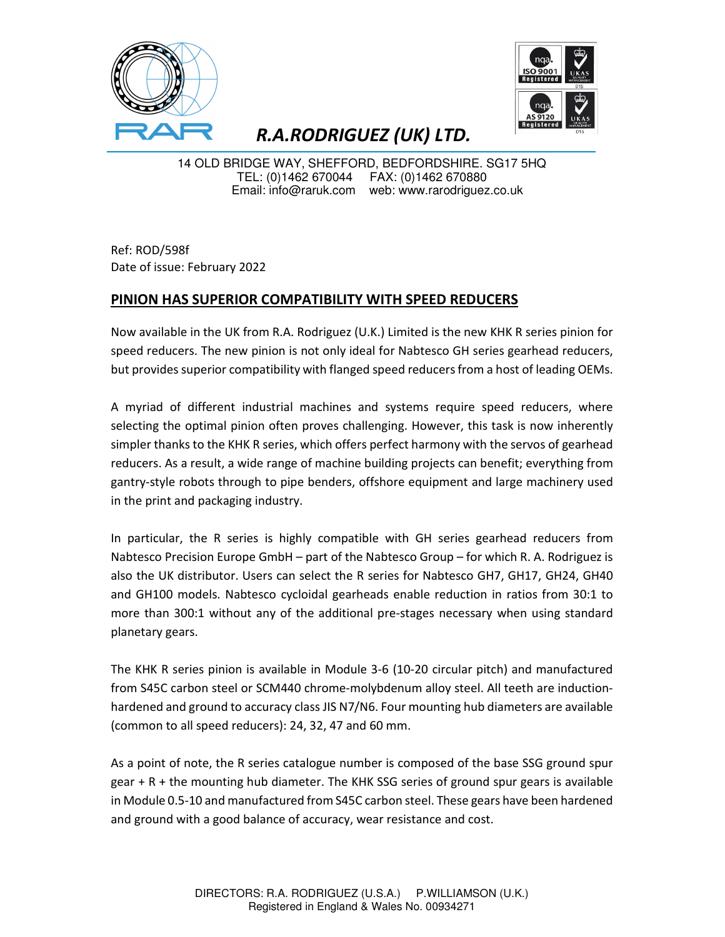



## R.A.RODRIGUEZ (UK) LTD.

14 OLD BRIDGE WAY, SHEFFORD, BEDFORDSHIRE. SG17 5HQ TEL: (0)1462 670044 FAX: (0)1462 670880 Email: info@raruk.com web: www.rarodriguez.co.uk

Ref: ROD/598f Date of issue: February 2022

## PINION HAS SUPERIOR COMPATIBILITY WITH SPEED REDUCERS

Now available in the UK from R.A. Rodriguez (U.K.) Limited is the new KHK R series pinion for speed reducers. The new pinion is not only ideal for Nabtesco GH series gearhead reducers, but provides superior compatibility with flanged speed reducers from a host of leading OEMs.

A myriad of different industrial machines and systems require speed reducers, where selecting the optimal pinion often proves challenging. However, this task is now inherently simpler thanks to the KHK R series, which offers perfect harmony with the servos of gearhead reducers. As a result, a wide range of machine building projects can benefit; everything from gantry-style robots through to pipe benders, offshore equipment and large machinery used in the print and packaging industry.

In particular, the R series is highly compatible with GH series gearhead reducers from Nabtesco Precision Europe GmbH – part of the Nabtesco Group – for which R. A. Rodriguez is also the UK distributor. Users can select the R series for Nabtesco GH7, GH17, GH24, GH40 and GH100 models. Nabtesco cycloidal gearheads enable reduction in ratios from 30:1 to more than 300:1 without any of the additional pre-stages necessary when using standard planetary gears.

The KHK R series pinion is available in Module 3-6 (10-20 circular pitch) and manufactured from S45C carbon steel or SCM440 chrome-molybdenum alloy steel. All teeth are inductionhardened and ground to accuracy class JIS N7/N6. Four mounting hub diameters are available (common to all speed reducers): 24, 32, 47 and 60 mm.

As a point of note, the R series catalogue number is composed of the base SSG ground spur gear + R + the mounting hub diameter. The KHK SSG series of ground spur gears is available in Module 0.5-10 and manufactured from S45C carbon steel. These gears have been hardened and ground with a good balance of accuracy, wear resistance and cost.